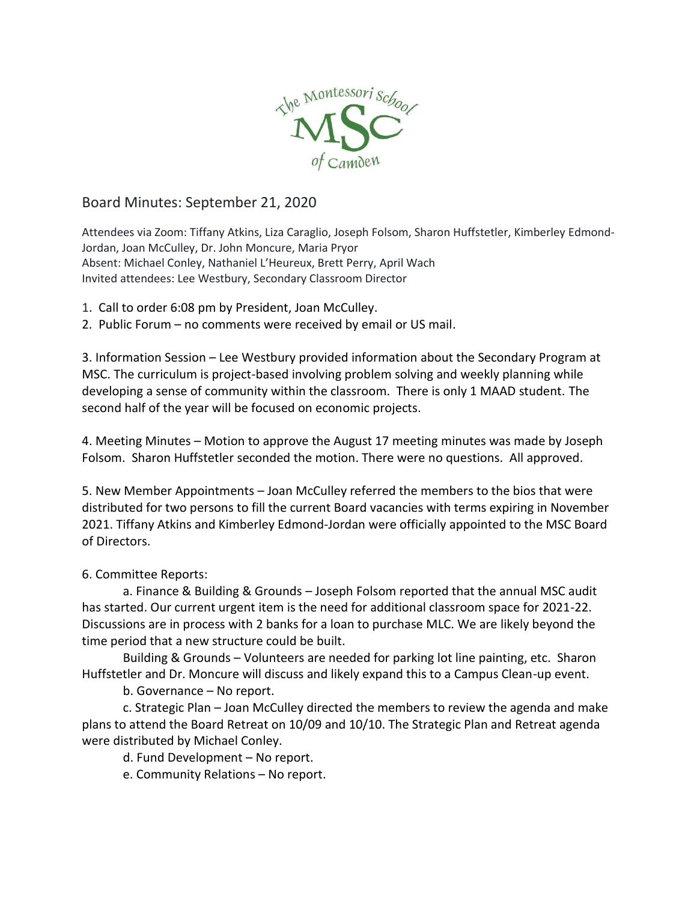

## Board Minutes: September 21, 2020

Attendees via Zoom: Tiffany Atkins, Liza Caraglio, Joseph Folsom, Sharon Huffstetler, Kimberley Edmond-Jordan, Joan McCulley, Dr. John Moncure, Maria Pryor Absent: Michael Conley, Nathaniel L'Heureux, Brett Perry, April Wach Invited attendees: Lee Westbury, Secondary Classroom Director

- 1. Call to order 6:08 pm by President, Joan McCulley.
- 2. Public Forum no comments were received by email or US mail.

3. Information Session – Lee Westbury provided information about the Secondary Program at MSC. The curriculum is project-based involving problem solving and weekly planning while developing a sense of community within the classroom. There is only 1 MAAD student. The second half of the year will be focused on economic projects.

4. Meeting Minutes – Motion to approve the August 17 meeting minutes was made by Joseph Folsom. Sharon Huffstetler seconded the motion. There were no questions. All approved.

5. New Member Appointments – Joan McCulley referred the members to the bios that were distributed for two persons to fill the current Board vacancies with terms expiring in November 2021. Tiffany Atkins and Kimberley Edmond-Jordan were officially appointed to the MSC Board of Directors.

## 6. Committee Reports:

a. Finance & Building & Grounds – Joseph Folsom reported that the annual MSC audit has started. Our current urgent item is the need for additional classroom space for 2021-22. Discussions are in process with 2 banks for a loan to purchase MLC. We are likely beyond the time period that a new structure could be built.

Building & Grounds – Volunteers are needed for parking lot line painting, etc. Sharon Huffstetler and Dr. Moncure will discuss and likely expand this to a Campus Clean-up event.

b. Governance – No report.

c. Strategic Plan – Joan McCulley directed the members to review the agenda and make plans to attend the Board Retreat on 10/09 and 10/10. The Strategic Plan and Retreat agenda were distributed by Michael Conley.

d. Fund Development – No report.

e. Community Relations – No report.